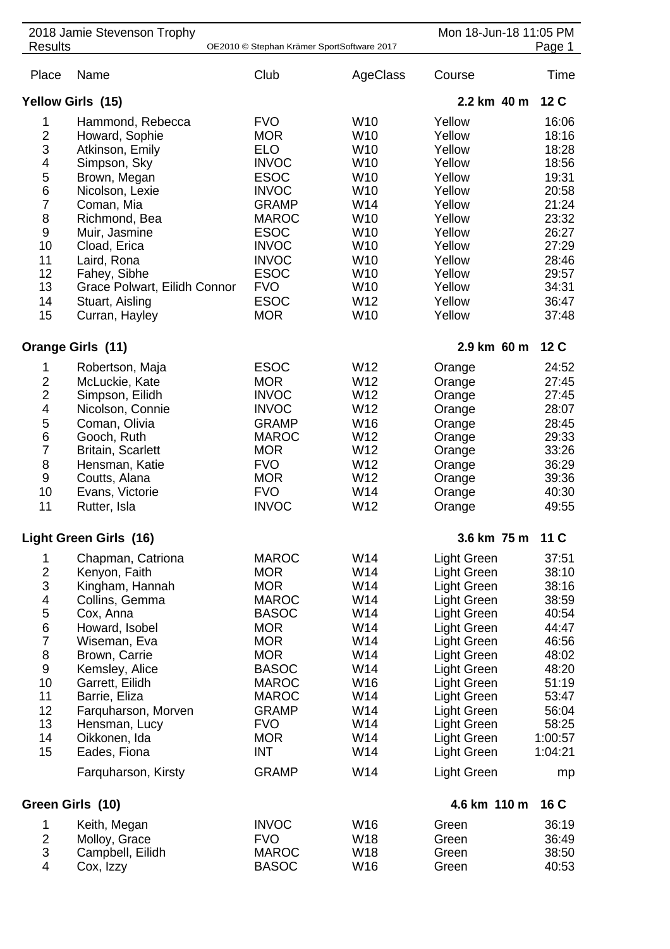| 2018 Jamie Stevenson Trophy<br><b>Results</b><br>OE2010 © Stephan Krämer SportSoftware 2017                                                             |                                                                                                                                                                                                                                                                                               |                                                                                                                                                                                                                                              | Mon 18-Jun-18 11:05 PM<br>Page 1                                                                                                                                                                      |                                                                                                                                                                                                                                              |                                                                                                                                               |
|---------------------------------------------------------------------------------------------------------------------------------------------------------|-----------------------------------------------------------------------------------------------------------------------------------------------------------------------------------------------------------------------------------------------------------------------------------------------|----------------------------------------------------------------------------------------------------------------------------------------------------------------------------------------------------------------------------------------------|-------------------------------------------------------------------------------------------------------------------------------------------------------------------------------------------------------|----------------------------------------------------------------------------------------------------------------------------------------------------------------------------------------------------------------------------------------------|-----------------------------------------------------------------------------------------------------------------------------------------------|
| Place                                                                                                                                                   | Name                                                                                                                                                                                                                                                                                          | Club                                                                                                                                                                                                                                         | AgeClass                                                                                                                                                                                              | Course                                                                                                                                                                                                                                       | Time                                                                                                                                          |
|                                                                                                                                                         | Yellow Girls (15)                                                                                                                                                                                                                                                                             | 2.2 km 40 m                                                                                                                                                                                                                                  | 12 <sub>C</sub>                                                                                                                                                                                       |                                                                                                                                                                                                                                              |                                                                                                                                               |
| 1<br>$\overline{2}$<br>3<br>4<br>5<br>6<br>$\overline{7}$<br>8<br>$\boldsymbol{9}$<br>10<br>11<br>12<br>13<br>14<br>15                                  | Hammond, Rebecca<br>Howard, Sophie<br>Atkinson, Emily<br>Simpson, Sky<br>Brown, Megan<br>Nicolson, Lexie<br>Coman, Mia<br>Richmond, Bea<br>Muir, Jasmine<br>Cload, Erica<br>Laird, Rona<br>Fahey, Sibhe<br>Grace Polwart, Eilidh Connor<br>Stuart, Aisling<br>Curran, Hayley                  | <b>FVO</b><br><b>MOR</b><br><b>ELO</b><br><b>INVOC</b><br><b>ESOC</b><br><b>INVOC</b><br><b>GRAMP</b><br><b>MAROC</b><br><b>ESOC</b><br><b>INVOC</b><br><b>INVOC</b><br><b>ESOC</b><br><b>FVO</b><br><b>ESOC</b><br><b>MOR</b>               | W <sub>10</sub><br>W10<br>W10<br>W10<br>W <sub>10</sub><br>W <sub>10</sub><br>W14<br>W <sub>10</sub><br>W <sub>10</sub><br>W <sub>10</sub><br>W <sub>10</sub><br>W <sub>10</sub><br>W10<br>W12<br>W10 | Yellow<br>Yellow<br>Yellow<br>Yellow<br>Yellow<br>Yellow<br>Yellow<br>Yellow<br>Yellow<br>Yellow<br>Yellow<br>Yellow<br>Yellow<br>Yellow<br>Yellow                                                                                           | 16:06<br>18:16<br>18:28<br>18:56<br>19:31<br>20:58<br>21:24<br>23:32<br>26:27<br>27:29<br>28:46<br>29:57<br>34:31<br>36:47<br>37:48           |
|                                                                                                                                                         | Orange Girls (11)                                                                                                                                                                                                                                                                             |                                                                                                                                                                                                                                              |                                                                                                                                                                                                       | 2.9 km 60 m                                                                                                                                                                                                                                  | 12 C                                                                                                                                          |
| 1<br>$\overline{2}$<br>$\overline{2}$<br>$\overline{\mathbf{4}}$<br>5<br>$\,6$<br>$\overline{7}$<br>8<br>$\boldsymbol{9}$<br>10<br>11                   | Robertson, Maja<br>McLuckie, Kate<br>Simpson, Eilidh<br>Nicolson, Connie<br>Coman, Olivia<br>Gooch, Ruth<br><b>Britain, Scarlett</b><br>Hensman, Katie<br>Coutts, Alana<br>Evans, Victorie<br>Rutter, Isla                                                                                    | <b>ESOC</b><br><b>MOR</b><br><b>INVOC</b><br><b>INVOC</b><br><b>GRAMP</b><br><b>MAROC</b><br><b>MOR</b><br><b>FVO</b><br><b>MOR</b><br><b>FVO</b><br><b>INVOC</b>                                                                            | W12<br>W12<br>W12<br>W12<br>W16<br>W12<br>W12<br>W12<br>W12<br>W14<br>W12                                                                                                                             | Orange<br>Orange<br>Orange<br>Orange<br>Orange<br>Orange<br>Orange<br>Orange<br>Orange<br>Orange<br>Orange                                                                                                                                   | 24:52<br>27:45<br>27:45<br>28:07<br>28:45<br>29:33<br>33:26<br>36:29<br>39:36<br>40:30<br>49:55                                               |
|                                                                                                                                                         | Light Green Girls (16)                                                                                                                                                                                                                                                                        |                                                                                                                                                                                                                                              |                                                                                                                                                                                                       | 3.6 km 75 m                                                                                                                                                                                                                                  | 11 C                                                                                                                                          |
| 1<br>$\boldsymbol{2}$<br>$\mathsf 3$<br>4<br>5<br>$\boldsymbol{6}$<br>$\overline{7}$<br>$\bf 8$<br>$\boldsymbol{9}$<br>10<br>11<br>12<br>13<br>14<br>15 | Chapman, Catriona<br>Kenyon, Faith<br>Kingham, Hannah<br>Collins, Gemma<br>Cox, Anna<br>Howard, Isobel<br>Wiseman, Eva<br>Brown, Carrie<br>Kemsley, Alice<br>Garrett, Eilidh<br>Barrie, Eliza<br>Farquharson, Morven<br>Hensman, Lucy<br>Oikkonen, Ida<br>Eades, Fiona<br>Farquharson, Kirsty | <b>MAROC</b><br><b>MOR</b><br><b>MOR</b><br><b>MAROC</b><br><b>BASOC</b><br><b>MOR</b><br><b>MOR</b><br><b>MOR</b><br><b>BASOC</b><br><b>MAROC</b><br><b>MAROC</b><br><b>GRAMP</b><br><b>FVO</b><br><b>MOR</b><br><b>INT</b><br><b>GRAMP</b> | W14<br>W14<br>W14<br>W14<br>W14<br>W14<br>W14<br>W14<br>W14<br>W16<br>W14<br>W14<br>W14<br>W14<br>W14<br>W14                                                                                          | Light Green<br>Light Green<br>Light Green<br>Light Green<br>Light Green<br>Light Green<br>Light Green<br>Light Green<br>Light Green<br>Light Green<br>Light Green<br>Light Green<br>Light Green<br>Light Green<br>Light Green<br>Light Green | 37:51<br>38:10<br>38:16<br>38:59<br>40:54<br>44:47<br>46:56<br>48:02<br>48:20<br>51:19<br>53:47<br>56:04<br>58:25<br>1:00:57<br>1:04:21<br>mp |
|                                                                                                                                                         | Green Girls (10)                                                                                                                                                                                                                                                                              | 4.6 km 110 m                                                                                                                                                                                                                                 | 16 C                                                                                                                                                                                                  |                                                                                                                                                                                                                                              |                                                                                                                                               |
| 1<br>$\overline{2}$<br>$\ensuremath{\mathsf{3}}$<br>$\overline{\mathbf{4}}$                                                                             | Keith, Megan<br>Molloy, Grace<br>Campbell, Eilidh<br>Cox, Izzy                                                                                                                                                                                                                                | <b>INVOC</b><br><b>FVO</b><br><b>MAROC</b><br><b>BASOC</b>                                                                                                                                                                                   | W16<br>W18<br>W18<br>W16                                                                                                                                                                              | Green<br>Green<br>Green<br>Green                                                                                                                                                                                                             | 36:19<br>36:49<br>38:50<br>40:53                                                                                                              |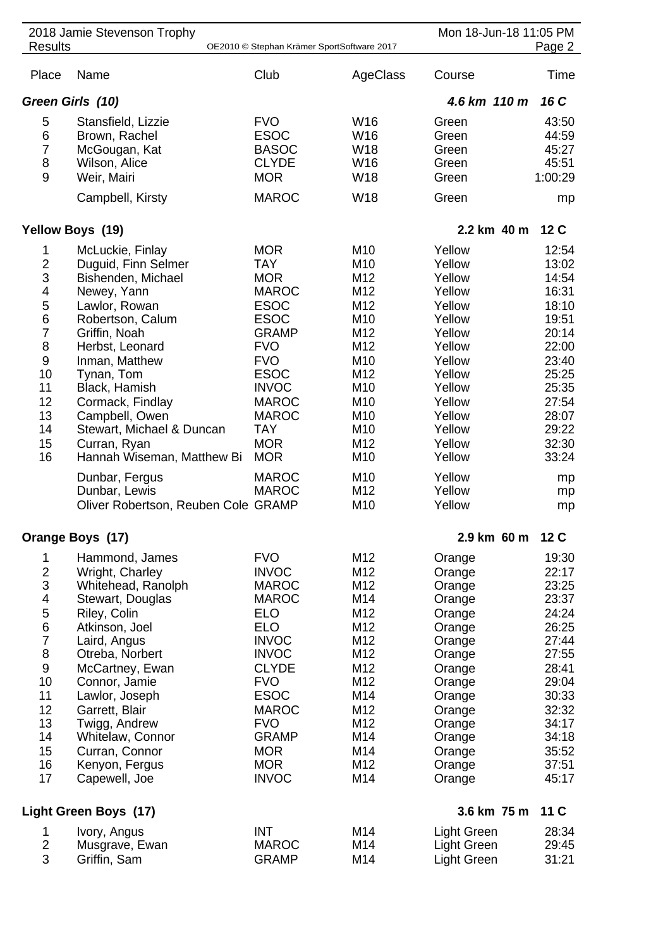| 2018 Jamie Stevenson Trophy<br><b>Results</b><br>OE2010 © Stephan Krämer SportSoftware 2017                                            |                                                                                                                                                                                                                                                                                                                                           |                                                                                                                                                                                                                                                               | Mon 18-Jun-18 11:05 PM<br>Page 2                                                                                                                                    |                                                                                                                                                                        |                                                                                                                                                       |
|----------------------------------------------------------------------------------------------------------------------------------------|-------------------------------------------------------------------------------------------------------------------------------------------------------------------------------------------------------------------------------------------------------------------------------------------------------------------------------------------|---------------------------------------------------------------------------------------------------------------------------------------------------------------------------------------------------------------------------------------------------------------|---------------------------------------------------------------------------------------------------------------------------------------------------------------------|------------------------------------------------------------------------------------------------------------------------------------------------------------------------|-------------------------------------------------------------------------------------------------------------------------------------------------------|
| Place                                                                                                                                  | Name                                                                                                                                                                                                                                                                                                                                      | Club                                                                                                                                                                                                                                                          | AgeClass                                                                                                                                                            | Course                                                                                                                                                                 | Time                                                                                                                                                  |
| Green Girls (10)                                                                                                                       | 4.6 km 110 m                                                                                                                                                                                                                                                                                                                              | 16 C                                                                                                                                                                                                                                                          |                                                                                                                                                                     |                                                                                                                                                                        |                                                                                                                                                       |
| 5<br>6<br>$\overline{7}$<br>8<br>9                                                                                                     | Stansfield, Lizzie<br>Brown, Rachel<br>McGougan, Kat<br>Wilson, Alice<br>Weir, Mairi<br>Campbell, Kirsty                                                                                                                                                                                                                                  | <b>FVO</b><br><b>ESOC</b><br><b>BASOC</b><br><b>CLYDE</b><br><b>MOR</b><br><b>MAROC</b>                                                                                                                                                                       | W <sub>16</sub><br>W16<br>W18<br>W16<br>W18<br>W18                                                                                                                  | Green<br>Green<br>Green<br>Green<br>Green<br>Green                                                                                                                     | 43:50<br>44:59<br>45:27<br>45:51<br>1:00:29<br>mp                                                                                                     |
|                                                                                                                                        | Yellow Boys (19)                                                                                                                                                                                                                                                                                                                          |                                                                                                                                                                                                                                                               |                                                                                                                                                                     | 2.2 km 40 m                                                                                                                                                            | 12 <sub>C</sub>                                                                                                                                       |
| 1<br>$\overline{c}$<br>3<br>4<br>5<br>6<br>$\overline{7}$<br>8<br>9<br>10<br>11<br>12<br>13<br>14<br>15<br>16                          | McLuckie, Finlay<br>Duguid, Finn Selmer<br>Bishenden, Michael<br>Newey, Yann<br>Lawlor, Rowan<br>Robertson, Calum<br>Griffin, Noah<br>Herbst, Leonard<br>Inman, Matthew<br>Tynan, Tom<br>Black, Hamish<br>Cormack, Findlay<br>Campbell, Owen<br>Stewart, Michael & Duncan<br>Curran, Ryan<br>Hannah Wiseman, Matthew Bi<br>Dunbar, Fergus | <b>MOR</b><br><b>TAY</b><br><b>MOR</b><br><b>MAROC</b><br><b>ESOC</b><br><b>ESOC</b><br><b>GRAMP</b><br><b>FVO</b><br><b>FVO</b><br><b>ESOC</b><br><b>INVOC</b><br><b>MAROC</b><br><b>MAROC</b><br><b>TAY</b><br><b>MOR</b><br><b>MOR</b><br><b>MAROC</b>     | M <sub>10</sub><br>M <sub>10</sub><br>M12<br>M12<br>M12<br>M <sub>10</sub><br>M12<br>M12<br>M <sub>10</sub><br>M12<br>M10<br>M10<br>M10<br>M10<br>M12<br>M10<br>M10 | Yellow<br>Yellow<br>Yellow<br>Yellow<br>Yellow<br>Yellow<br>Yellow<br>Yellow<br>Yellow<br>Yellow<br>Yellow<br>Yellow<br>Yellow<br>Yellow<br>Yellow<br>Yellow<br>Yellow | 12:54<br>13:02<br>14:54<br>16:31<br>18:10<br>19:51<br>20:14<br>22:00<br>23:40<br>25:25<br>25:35<br>27:54<br>28:07<br>29:22<br>32:30<br>33:24<br>mp    |
|                                                                                                                                        | Dunbar, Lewis<br>Oliver Robertson, Reuben Cole GRAMP                                                                                                                                                                                                                                                                                      | <b>MAROC</b>                                                                                                                                                                                                                                                  | M12<br>M10                                                                                                                                                          | Yellow<br>Yellow                                                                                                                                                       | mp<br>mp                                                                                                                                              |
|                                                                                                                                        | Orange Boys (17)                                                                                                                                                                                                                                                                                                                          |                                                                                                                                                                                                                                                               |                                                                                                                                                                     | 2.9 km 60 m                                                                                                                                                            | 12C                                                                                                                                                   |
| 1<br>$\frac{2}{3}$<br>$\overline{\mathcal{A}}$<br>5<br>6<br>7<br>8<br>$\boldsymbol{9}$<br>10<br>11<br>12<br>13<br>14<br>15<br>16<br>17 | Hammond, James<br>Wright, Charley<br>Whitehead, Ranolph<br>Stewart, Douglas<br>Riley, Colin<br>Atkinson, Joel<br>Laird, Angus<br>Otreba, Norbert<br>McCartney, Ewan<br>Connor, Jamie<br>Lawlor, Joseph<br>Garrett, Blair<br>Twigg, Andrew<br>Whitelaw, Connor<br>Curran, Connor<br>Kenyon, Fergus<br>Capewell, Joe                        | <b>FVO</b><br><b>INVOC</b><br><b>MAROC</b><br><b>MAROC</b><br><b>ELO</b><br><b>ELO</b><br><b>INVOC</b><br><b>INVOC</b><br><b>CLYDE</b><br><b>FVO</b><br><b>ESOC</b><br><b>MAROC</b><br><b>FVO</b><br><b>GRAMP</b><br><b>MOR</b><br><b>MOR</b><br><b>INVOC</b> | M12<br>M12<br>M12<br>M14<br>M12<br>M12<br>M12<br>M12<br>M12<br>M12<br>M14<br>M12<br>M12<br>M14<br>M14<br>M12<br>M14                                                 | Orange<br>Orange<br>Orange<br>Orange<br>Orange<br>Orange<br>Orange<br>Orange<br>Orange<br>Orange<br>Orange<br>Orange<br>Orange<br>Orange<br>Orange<br>Orange<br>Orange | 19:30<br>22:17<br>23:25<br>23:37<br>24:24<br>26:25<br>27:44<br>27:55<br>28:41<br>29:04<br>30:33<br>32:32<br>34:17<br>34:18<br>35:52<br>37:51<br>45:17 |
| Light Green Boys (17)<br>3.6 km 75 m                                                                                                   |                                                                                                                                                                                                                                                                                                                                           |                                                                                                                                                                                                                                                               |                                                                                                                                                                     |                                                                                                                                                                        |                                                                                                                                                       |
| 1<br>$\mathbf 2$<br>3                                                                                                                  | Ivory, Angus<br>Musgrave, Ewan<br>Griffin, Sam                                                                                                                                                                                                                                                                                            | <b>INT</b><br><b>MAROC</b><br><b>GRAMP</b>                                                                                                                                                                                                                    | M14<br>M14<br>M14                                                                                                                                                   | <b>Light Green</b><br><b>Light Green</b><br>Light Green                                                                                                                | 28:34<br>29:45<br>31:21                                                                                                                               |